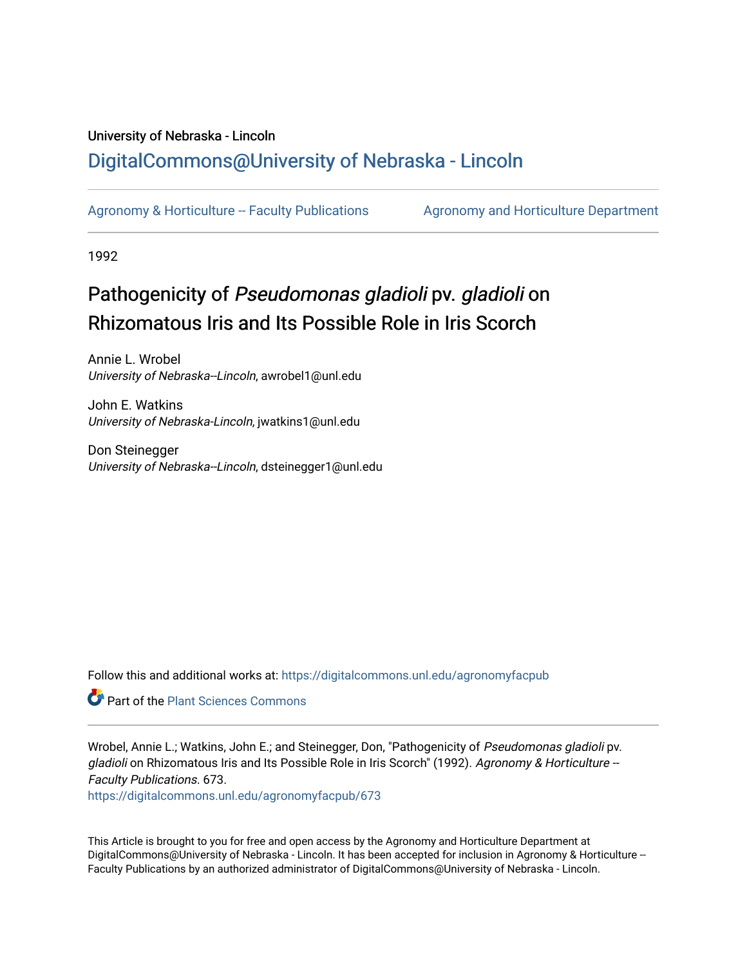## University of Nebraska - Lincoln [DigitalCommons@University of Nebraska - Lincoln](https://digitalcommons.unl.edu/)

[Agronomy & Horticulture -- Faculty Publications](https://digitalcommons.unl.edu/agronomyfacpub) Agronomy and Horticulture Department

1992

## Pathogenicity of Pseudomonas gladioli pv. gladioli on Rhizomatous Iris and Its Possible Role in Iris Scorch

Annie L. Wrobel University of Nebraska--Lincoln, awrobel1@unl.edu

John E. Watkins University of Nebraska-Lincoln, jwatkins1@unl.edu

Don Steinegger University of Nebraska--Lincoln, dsteinegger1@unl.edu

Follow this and additional works at: [https://digitalcommons.unl.edu/agronomyfacpub](https://digitalcommons.unl.edu/agronomyfacpub?utm_source=digitalcommons.unl.edu%2Fagronomyfacpub%2F673&utm_medium=PDF&utm_campaign=PDFCoverPages)

**Part of the [Plant Sciences Commons](http://network.bepress.com/hgg/discipline/102?utm_source=digitalcommons.unl.edu%2Fagronomyfacpub%2F673&utm_medium=PDF&utm_campaign=PDFCoverPages)** 

Wrobel, Annie L.; Watkins, John E.; and Steinegger, Don, "Pathogenicity of Pseudomonas gladioli pv. gladioli on Rhizomatous Iris and Its Possible Role in Iris Scorch" (1992). Agronomy & Horticulture --Faculty Publications. 673.

[https://digitalcommons.unl.edu/agronomyfacpub/673](https://digitalcommons.unl.edu/agronomyfacpub/673?utm_source=digitalcommons.unl.edu%2Fagronomyfacpub%2F673&utm_medium=PDF&utm_campaign=PDFCoverPages)

This Article is brought to you for free and open access by the Agronomy and Horticulture Department at DigitalCommons@University of Nebraska - Lincoln. It has been accepted for inclusion in Agronomy & Horticulture --Faculty Publications by an authorized administrator of DigitalCommons@University of Nebraska - Lincoln.